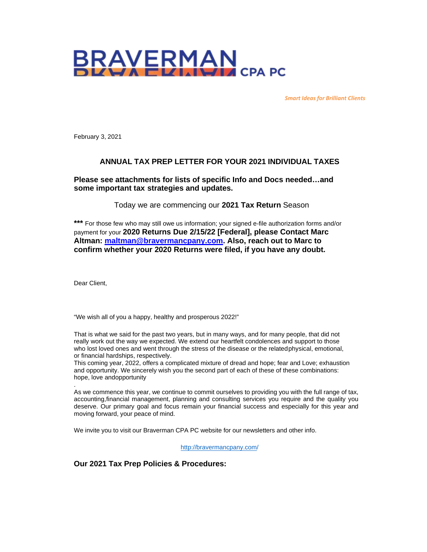

*Smart Ideas for Brilliant Clients*

February 3, 2021

#### **ANNUAL TAX PREP LETTER FOR YOUR 2021 INDIVIDUAL TAXES**

#### **Please see attachments for lists of specific Info and Docs needed…and some important tax strategies and updates.**

Today we are commencing our **2021 Tax Return** Season

**\*\*\*** For those few who may still owe us information; your signed e-file authorization forms and/or payment for your **2020 Returns Due 2/15/22 [Federal], please Contact Marc Altman: [maltman@bravermancpany.com.](mailto:maltman@bravermancpany.com) Also, reach out to Marc to confirm whether your 2020 Returns were filed, if you have any doubt.** 

Dear Client,

.

"We wish all of you a happy, healthy and prosperous 2022!"

That is what we said for the past two years, but in many ways, and for many people, that did not really work out the way we expected. We extend our heartfelt condolences and support to those who lost loved ones and went through the stress of the disease or the related physical, emotional, or financial hardships, respectively.

This coming year, 2022, offers a complicated mixture of dread and hope; fear and Love; exhaustion and opportunity. We sincerely wish you the second part of each of these of these combinations: hope, love andopportunity

As we commence this year, we continue to commit ourselves to providing you with the full range of tax, accounting,financial management, planning and consulting services you require and the quality you deserve. Our primary goal and focus remain your financial success and especially for this year and moving forward, your peace of mind.

We invite you to visit our Braverman CPA PC website for our newsletters and other info.

[http://bravermancpany.com/](https://nam12.safelinks.protection.outlook.com/?url=http%3A%2F%2Fbravermancpany.com%2F&data=04%7C01%7CTBolling%40bravermancpany.com%7C1edab1d2a46c4e9e11ff08d9fc6b7191%7C2090cc28aad2409c8617479b35236d69%7C1%7C0%7C637818360696004842%7CUnknown%7CTWFpbGZsb3d8eyJWIjoiMC4wLjAwMDAiLCJQIjoiV2luMzIiLCJBTiI6Ik1haWwiLCJXVCI6Mn0%3D%7C3000&sdata=JupKPZp92ldsnvvosOo84jyAn5q%2FyWx9jYi3Coa%2BYXE%3D&reserved=0)

**Our 2021 Tax Prep Policies & Procedures:**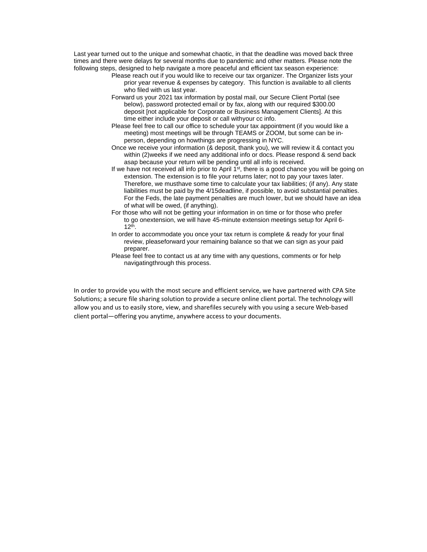Last year turned out to the unique and somewhat chaotic, in that the deadline was moved back three times and there were delays for several months due to pandemic and other matters. Please note the following steps, designed to help navigate a more peaceful and efficient tax season experience:

- Please reach out if you would like to receive our tax organizer. The Organizer lists your prior year revenue & expenses by category. This function is available to all clients who filed with us last year.
- Forward us your 2021 tax information by postal mail, our Secure Client Portal (see below), password protected email or by fax, along with our required \$300.00 deposit [not applicable for Corporate or Business Management Clients]. At this time either include your deposit or call withyour cc info.
- Please feel free to call our office to schedule your tax appointment (if you would like a meeting) most meetings will be through TEAMS or ZOOM, but some can be inperson, depending on howthings are progressing in NYC.
- Once we receive your information (& deposit, thank you), we will review it & contact you within (2)weeks if we need any additional info or docs. Please respond & send back asap because your return will be pending until all info is received.
- If we have not received all info prior to April  $1<sup>st</sup>$ , there is a good chance you will be going on extension. The extension is to file your returns later; not to pay your taxes later. Therefore, we musthave some time to calculate your tax liabilities; (if any). Any state liabilities must be paid by the 4/15deadline, if possible, to avoid substantial penalties. For the Feds, the late payment penalties are much lower, but we should have an idea of what will be owed, (if anything).
- For those who will not be getting your information in on time or for those who prefer to go onextension, we will have 45-minute extension meetings setup for April 6-  $12^{th}$ .
- In order to accommodate you once your tax return is complete & ready for your final review, pleaseforward your remaining balance so that we can sign as your paid preparer.
- Please feel free to contact us at any time with any questions, comments or for help navigatingthrough this process.

In order to provide you with the most secure and efficient service, we have partnered with CPA Site Solutions; [a secure file](https://nam12.safelinks.protection.outlook.com/?url=http%3A%2F%2Fwww.smartvault.com%2Ffeatures%2Fsecure-file-sharing%2F&data=04%7C01%7CTBolling%40bravermancpany.com%7C1edab1d2a46c4e9e11ff08d9fc6b7191%7C2090cc28aad2409c8617479b35236d69%7C1%7C0%7C637818360696004842%7CUnknown%7CTWFpbGZsb3d8eyJWIjoiMC4wLjAwMDAiLCJQIjoiV2luMzIiLCJBTiI6Ik1haWwiLCJXVCI6Mn0%3D%7C3000&sdata=62iTwW85sCd8%2FaK%2BhTp544g8wz6B77jabtVM%2FJ3%2BD1g%3D&reserved=0) [sharing](https://nam12.safelinks.protection.outlook.com/?url=http%3A%2F%2Fwww.smartvault.com%2Ffeatures%2Fsecure-file-sharing%2F&data=04%7C01%7CTBolling%40bravermancpany.com%7C1edab1d2a46c4e9e11ff08d9fc6b7191%7C2090cc28aad2409c8617479b35236d69%7C1%7C0%7C637818360696004842%7CUnknown%7CTWFpbGZsb3d8eyJWIjoiMC4wLjAwMDAiLCJQIjoiV2luMzIiLCJBTiI6Ik1haWwiLCJXVCI6Mn0%3D%7C3000&sdata=62iTwW85sCd8%2FaK%2BhTp544g8wz6B77jabtVM%2FJ3%2BD1g%3D&reserved=0) solution to provide a secure online client [portal.](https://nam12.safelinks.protection.outlook.com/?url=http%3A%2F%2Fwww.smartvault.com%2Ffeatures%2Fclient-portal%2F&data=04%7C01%7CTBolling%40bravermancpany.com%7C1edab1d2a46c4e9e11ff08d9fc6b7191%7C2090cc28aad2409c8617479b35236d69%7C1%7C0%7C637818360696004842%7CUnknown%7CTWFpbGZsb3d8eyJWIjoiMC4wLjAwMDAiLCJQIjoiV2luMzIiLCJBTiI6Ik1haWwiLCJXVCI6Mn0%3D%7C3000&sdata=7xpGWrvT8VzXNVhrBc1yiSPKws2DO1ozrpOZGmQaBHA%3D&reserved=0) The technology will allow you and us to easily store, view, and [sharef](https://nam12.safelinks.protection.outlook.com/?url=http%3A%2F%2Fwww.smartvault.com%2Ffeatures%2Fsecure-file-sharing%2F&data=04%7C01%7CTBolling%40bravermancpany.com%7C1edab1d2a46c4e9e11ff08d9fc6b7191%7C2090cc28aad2409c8617479b35236d69%7C1%7C0%7C637818360696004842%7CUnknown%7CTWFpbGZsb3d8eyJWIjoiMC4wLjAwMDAiLCJQIjoiV2luMzIiLCJBTiI6Ik1haWwiLCJXVCI6Mn0%3D%7C3000&sdata=62iTwW85sCd8%2FaK%2BhTp544g8wz6B77jabtVM%2FJ3%2BD1g%3D&reserved=0)iles [securely](https://nam12.safelinks.protection.outlook.com/?url=http%3A%2F%2Fwww.smartvault.com%2Ffeatures%2Fsecure-file-sharing%2F&data=04%7C01%7CTBolling%40bravermancpany.com%7C1edab1d2a46c4e9e11ff08d9fc6b7191%7C2090cc28aad2409c8617479b35236d69%7C1%7C0%7C637818360696004842%7CUnknown%7CTWFpbGZsb3d8eyJWIjoiMC4wLjAwMDAiLCJQIjoiV2luMzIiLCJBTiI6Ik1haWwiLCJXVCI6Mn0%3D%7C3000&sdata=62iTwW85sCd8%2FaK%2BhTp544g8wz6B77jabtVM%2FJ3%2BD1g%3D&reserved=0) with you using a secure Web-based client [portal—](https://nam12.safelinks.protection.outlook.com/?url=http%3A%2F%2Fwww.smartvault.com%2Ffeatures%2Fclient-portal%2F&data=04%7C01%7CTBolling%40bravermancpany.com%7C1edab1d2a46c4e9e11ff08d9fc6b7191%7C2090cc28aad2409c8617479b35236d69%7C1%7C0%7C637818360696004842%7CUnknown%7CTWFpbGZsb3d8eyJWIjoiMC4wLjAwMDAiLCJQIjoiV2luMzIiLCJBTiI6Ik1haWwiLCJXVCI6Mn0%3D%7C3000&sdata=7xpGWrvT8VzXNVhrBc1yiSPKws2DO1ozrpOZGmQaBHA%3D&reserved=0)offering you anytime, anywhere access to your documents.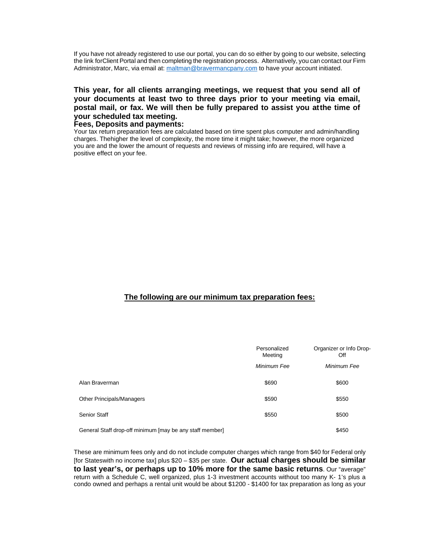If you have not already registered to use our portal, you can do so either by going to our website, selecting the link forClient Portal and then completing the registration process. Alternatively, you can contact our Firm Administrator, Marc, via email at: [maltman@bravermancpany.com](mailto:maltman@bravermancpany.com) to have your account initiated.

**This year, for all clients arranging meetings, we request that you send all of your documents at least two to three days prior to your meeting via email, postal mail, or fax. We will then be fully prepared to assist you atthe time of your scheduled tax meeting.**

#### **Fees, Deposits and payments:**

Your tax return preparation fees are calculated based on time spent plus computer and admin/handling charges. Thehigher the level of complexity, the more time it might take; however, the more organized you are and the lower the amount of requests and reviews of missing info are required, will have a positive effect on your fee.

### **The following are our minimum tax preparation fees:**

|                                                          | Personalized<br>Meeting | Organizer or Info Drop-<br>∩ff |
|----------------------------------------------------------|-------------------------|--------------------------------|
|                                                          | Minimum Fee             | Minimum Fee                    |
| Alan Braverman                                           | \$690                   | \$600                          |
| : Other Principals/Managers                              | \$590                   | \$550                          |
| <b>Senior Staff</b>                                      | \$550                   | \$500                          |
| General Staff drop-off minimum [may be any staff member] |                         | \$450                          |

These are minimum fees only and do not include computer charges which range from \$40 for Federal only [for Stateswith no income tax] plus \$20 – \$35 per state. **Our actual charges should be similar to last year's, or perhaps up to 10% more for the same basic returns**. Our "average" return with a Schedule C, well organized, plus 1-3 investment accounts without too many K- 1's plus a condo owned and perhaps a rental unit would be about \$1200 - \$1400 for tax preparation as long as your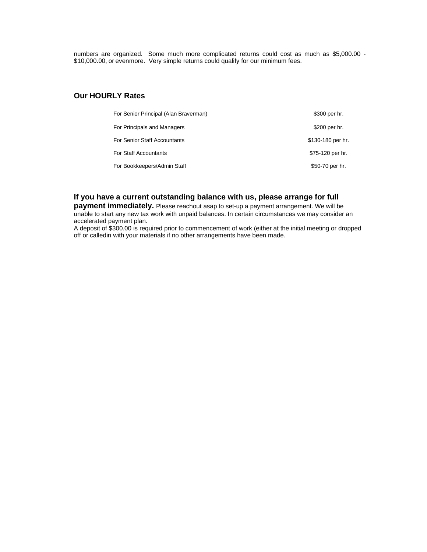numbers are organized. Some much more complicated returns could cost as much as \$5,000.00 - \$10,000.00, or evenmore. Very simple returns could qualify for our minimum fees.

#### **Our HOURLY Rates**

| : For Senior Principal (Alan Braverman) | \$300 per hr.     |
|-----------------------------------------|-------------------|
| For Principals and Managers             | \$200 per hr.     |
| : For Senior Staff Accountants          | \$130-180 per hr. |
| : For Staff Accountants                 | \$75-120 per hr.  |
| For Bookkeepers/Admin Staff             | \$50-70 per hr.   |

#### **If you have a current outstanding balance with us, please arrange for full**

**payment immediately.** Please reachout asap to set-up a payment arrangement. We will be unable to start any new tax work with unpaid balances. In certain circumstances we may consider an accelerated payment plan.

A deposit of \$300.00 is required prior to commencement of work (either at the initial meeting or dropped off or calledin with your materials if no other arrangements have been made.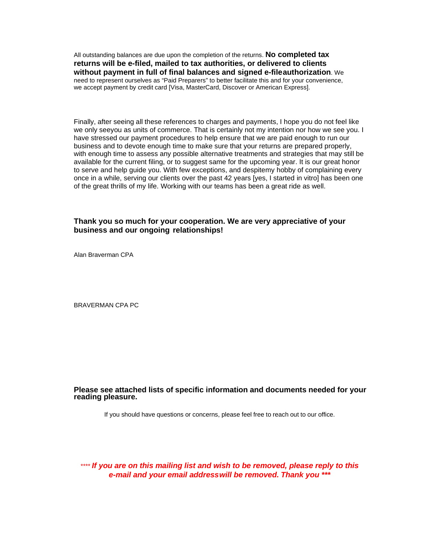All outstanding balances are due upon the completion of the returns. **No completed tax returns will be e-filed, mailed to tax authorities, or delivered to clients without payment in full of final balances and signed e-fileauthorization**. We need to represent ourselves as "Paid Preparers" to better facilitate this and for your convenience, we accept payment by credit card [Visa, MasterCard, Discover or American Express].

Finally, after seeing all these references to charges and payments, I hope you do not feel like we only seeyou as units of commerce. That is certainly not my intention nor how we see you. I have stressed our payment procedures to help ensure that we are paid enough to run our business and to devote enough time to make sure that your returns are prepared properly, with enough time to assess any possible alternative treatments and strategies that may still be available for the current filing, or to suggest same for the upcoming year. It is our great honor to serve and help guide you. With few exceptions, and despitemy hobby of complaining every once in a while, serving our clients over the past 42 years [yes, I started in vitro] has been one of the great thrills of my life. Working with our teams has been a great ride as well.

#### **Thank you so much for your cooperation. We are very appreciative of your business and our ongoing relationships!**

Alan Braverman CPA

BRAVERMAN CPA PC

# **Please see attached lists of specific information and documents needed for your reading pleasure.**

If you should have questions or concerns, please feel free to reach out to our office.

*\*\*\*\* If you are on this mailing list and wish to be removed, please reply to this e-mail and your email addresswill be removed. Thank you \*\*\**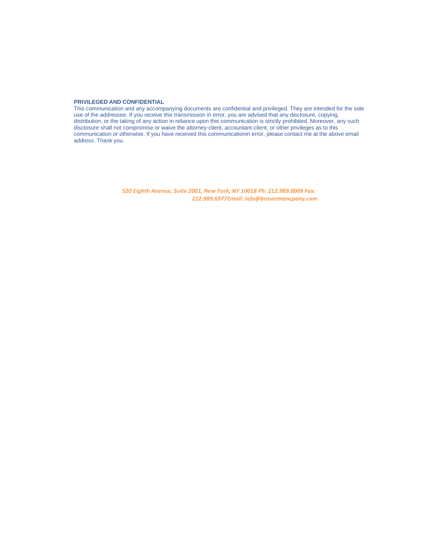#### **PRIVILEGED AND CONFIDENTIAL**

This communication and any accompanying documents are confidential and privileged. They are intended for the sole use of the addressee. If you receive this transmission in error, you are advised that any disclosure, copying, distribution, or the taking of any action in reliance upon this communication is strictly prohibited. Moreover, any such disclosure shall not compromise or waive the attorney-client, accountant-client, or other privileges as to this communication or otherwise. If you have received this communicationin error, please contact me at the above email address. Thank you.

> *520 Eighth Avenue, Suite 2001, New York, NY 10018 Ph: 212.989.0009 Fax: 212.989.6977Email: [info@bravermancpany.com](mailto:info@bravermancpany.com)*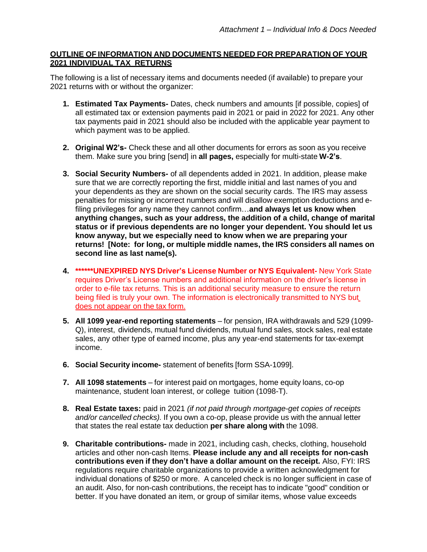# **OUTLINE OF INFORMATION AND DOCUMENTS NEEDED FOR PREPARATION OF YOUR 2021 INDIVIDUAL TAX RETURNS**

The following is a list of necessary items and documents needed (if available) to prepare your 2021 returns with or without the organizer:

- **1. Estimated Tax Payments-** Dates, check numbers and amounts [if possible, copies] of all estimated tax or extension payments paid in 2021 or paid in 2022 for 2021. Any other tax payments paid in 2021 should also be included with the applicable year payment to which payment was to be applied.
- **2. Original W2's-** Check these and all other documents for errors as soon as you receive them. Make sure you bring [send] in **all pages,** especially for multi-state **W-2's**.
- **3. Social Security Numbers-** of all dependents added in 2021. In addition, please make sure that we are correctly reporting the first, middle initial and last names of you and your dependents as they are shown on the social security cards. The IRS may assess penalties for missing or incorrect numbers and will disallow exemption deductions and efiling privileges for any name they cannot confirm…**and always let us know when anything changes, such as your address, the addition of a child, change of marital status or if previous dependents are no longer your dependent. You should let us know anyway, but we especially need to know when we are preparing your returns! [Note: for long, or multiple middle names, the IRS considers all names on second line as last name(s).**
- **4. \*\*\*\*\*\*UNEXPIRED NYS Driver's License Number or NYS Equivalent-** New York State requires Driver's License numbers and additional information on the driver's license in order to e-file tax returns. This is an additional security measure to ensure the return being filed is truly your own. The information is electronically transmitted to NYS but does not appear on the tax form.
- **5. All 1099 year-end reporting statements** for pension, IRA withdrawals and 529 (1099- Q), interest, dividends, mutual fund dividends, mutual fund sales, stock sales, real estate sales, any other type of earned income, plus any year-end statements for tax-exempt income.
- **6. Social Security income-** statement of benefits [form SSA-1099].
- **7. All 1098 statements** for interest paid on mortgages, home equity loans, co-op maintenance, student loan interest, or college tuition (1098-T).
- **8. Real Estate taxes:** paid in 2021 *(if not paid through mortgage-get copies of receipts and/or cancelled checks).* If you own a co-op, please provide us with the annual letter that states the real estate tax deduction **per share along with** the 1098.
- **9. Charitable contributions-** made in 2021, including cash, checks, clothing, household articles and other non-cash Items. **Please include any and all receipts for non-cash contributions even if they don't have a dollar amount on the receipt.** Also, FYI: IRS regulations require charitable organizations to provide a written acknowledgment for individual donations of \$250 or more. A canceled check is no longer sufficient in case of an audit. Also, for non-cash contributions, the receipt has to indicate "good" condition or better. If you have donated an item, or group of similar items, whose value exceeds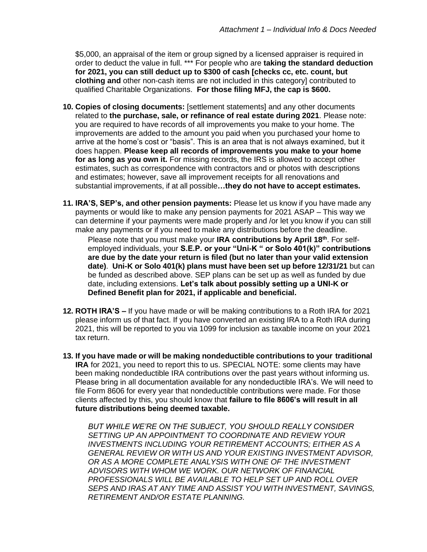\$5,000, an appraisal of the item or group signed by a licensed appraiser is required in order to deduct the value in full. \*\*\* For people who are **taking the standard deduction for 2021, you can still deduct up to \$300 of cash [checks cc, etc. count, but clothing and** other non-cash items are not included in this category] contributed to qualified Charitable Organizations. **For those filing MFJ, the cap is \$600.**

- **10. Copies of closing documents:** [settlement statements] and any other documents related to **the purchase, sale, or refinance of real estate during 2021**. Please note: you are required to have records of all improvements you make to your home. The improvements are added to the amount you paid when you purchased your home to arrive at the home's cost or "basis". This is an area that is not always examined, but it does happen. **Please keep all records of improvements you make to your home for as long as you own it.** For missing records, the IRS is allowed to accept other estimates, such as correspondence with contractors and or photos with descriptions and estimates; however, save all improvement receipts for all renovations and substantial improvements, if at all possible**…they do not have to accept estimates.**
- **11. IRA'S, SEP's, and other pension payments:** Please let us know if you have made any payments or would like to make any pension payments for 2021 ASAP – This way we can determine if your payments were made properly and /or let you know if you can still make any payments or if you need to make any distributions before the deadline.

Please note that you must make your **IRA contributions by April 18th**. For selfemployed individuals, your **S.E.P. or your "Uni-K " or Solo 401(k)" contributions are due by the date your return is filed (but no later than your valid extension date)**. **Uni-K or Solo 401(k) plans must have been set up before 12/31/21** but can be funded as described above. SEP plans can be set up as well as funded by due date, including extensions. **Let's talk about possibly setting up a UNI-K or Defined Benefit plan for 2021, if applicable and beneficial.**

- **12. ROTH IRA'S –** If you have made or will be making contributions to a Roth IRA for 2021 please inform us of that fact. If you have converted an existing IRA to a Roth IRA during 2021, this will be reported to you via 1099 for inclusion as taxable income on your 2021 tax return.
- **13. If you have made or will be making nondeductible contributions to your traditional IRA** for 2021, you need to report this to us. SPECIAL NOTE: some clients may have been making nondeductible IRA contributions over the past years without informing us. Please bring in all documentation available for any nondeductible IRA's. We will need to file Form 8606 for every year that nondeductible contributions were made. For those clients affected by this, you should know that **failure to file 8606's will result in all future distributions being deemed taxable.**

*BUT WHILE WE'RE ON THE SUBJECT, YOU SHOULD REALLY CONSIDER SETTING UP AN APPOINTMENT TO COORDINATE AND REVIEW YOUR INVESTMENTS INCLUDING YOUR RETIREMENT ACCOUNTS; EITHER AS A GENERAL REVIEW OR WITH US AND YOUR EXISTING INVESTMENT ADVISOR, OR AS A MORE COMPLETE ANALYSIS WITH ONE OF THE INVESTMENT ADVISORS WITH WHOM WE WORK. OUR NETWORK OF FINANCIAL PROFESSIONALS WILL BE AVAILABLE TO HELP SET UP AND ROLL OVER SEPS AND IRAS AT ANY TIME AND ASSIST YOU WITH INVESTMENT, SAVINGS, RETIREMENT AND/OR ESTATE PLANNING.*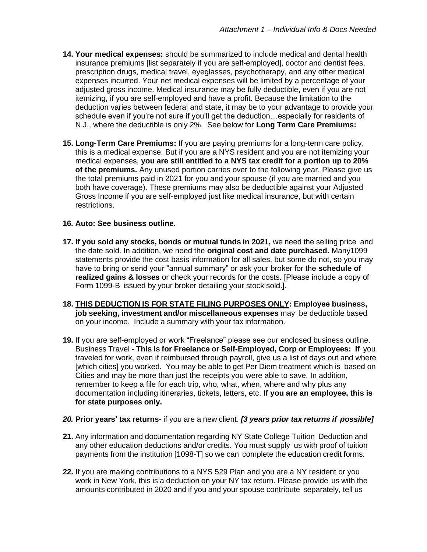- **14. Your medical expenses:** should be summarized to include medical and dental health insurance premiums [list separately if you are self-employed], doctor and dentist fees, prescription drugs, medical travel, eyeglasses, psychotherapy, and any other medical expenses incurred. Your net medical expenses will be limited by a percentage of your adjusted gross income. Medical insurance may be fully deductible, even if you are not itemizing, if you are self-employed and have a profit. Because the limitation to the deduction varies between federal and state, it may be to your advantage to provide your schedule even if you're not sure if you'll get the deduction…especially for residents of N.J., where the deductible is only 2%. See below for **Long Term Care Premiums:**
- **15. Long-Term Care Premiums:** If you are paying premiums for a long-term care policy, this is a medical expense. But if you are a NYS resident and you are not itemizing your medical expenses, **you are still entitled to a NYS tax credit for a portion up to 20% of the premiums.** Any unused portion carries over to the following year. Please give us the total premiums paid in 2021 for you and your spouse (if you are married and you both have coverage). These premiums may also be deductible against your Adjusted Gross Income if you are self-employed just like medical insurance, but with certain restrictions.

### **16. Auto: See business outline.**

- **17. If you sold any stocks, bonds or mutual funds in 2021,** we need the selling price and the date sold. In addition, we need the **original cost and date purchased.** Many1099 statements provide the cost basis information for all sales, but some do not, so you may have to bring or send your "annual summary" or ask your broker for the **schedule of realized gains & losses** or check your records for the costs. [Please include a copy of Form 1099-B issued by your broker detailing your stock sold.].
- **18. THIS DEDUCTION IS FOR STATE FILING PURPOSES ONLY: Employee business, job seeking, investment and/or miscellaneous expenses** may be deductible based on your income. Include a summary with your tax information.
- **19.** If you are self-employed or work "Freelance" please see our enclosed business outline. Business Travel **- This is for Freelance or Self-Employed, Corp or Employees: If** you traveled for work, even if reimbursed through payroll, give us a list of days out and where [which cities] you worked. You may be able to get Per Diem treatment which is based on Cities and may be more than just the receipts you were able to save. In addition, remember to keep a file for each trip, who, what, when, where and why plus any documentation including itineraries, tickets, letters, etc. **If you are an employee, this is for state purposes only.**

#### *20.* **Prior years' tax returns-** if you are a new client. *[3 years prior tax returns if possible]*

- **21.** Any information and documentation regarding NY State College Tuition Deduction and any other education deductions and/or credits. You must supply us with proof of tuition payments from the institution [1098-T] so we can complete the education credit forms.
- **22.** If you are making contributions to a NYS 529 Plan and you are a NY resident or you work in New York, this is a deduction on your NY tax return. Please provide us with the amounts contributed in 2020 and if you and your spouse contribute separately, tell us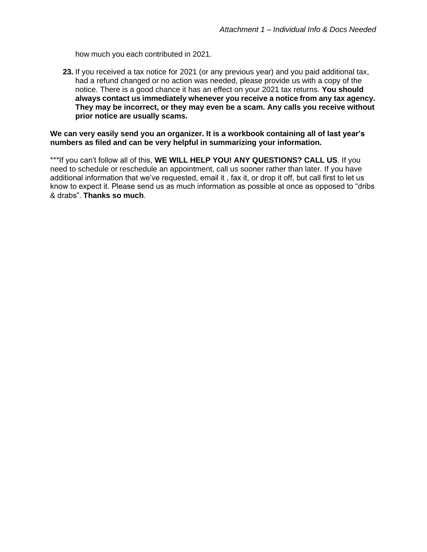how much you each contributed in 2021.

**23.** If you received a tax notice for 2021 (or any previous year) and you paid additional tax, had a refund changed or no action was needed, please provide us with a copy of the notice. There is a good chance it has an effect on your 2021 tax returns. **You should always contact us immediately whenever you receive a notice from any tax agency. They may be incorrect, or they may even be a scam. Any calls you receive without prior notice are usually scams.**

**We can very easily send you an organizer. It is a workbook containing all of last year's numbers as filed and can be very helpful in summarizing your information.**

\*\*\*If you can't follow all of this, **WE WILL HELP YOU! ANY QUESTIONS? CALL US**. If you need to schedule or reschedule an appointment, call us sooner rather than later. If you have additional information that we've requested, email it , fax it, or drop it off, but call first to let us know to expect it. Please send us as much information as possible at once as opposed to "dribs & drabs". **Thanks so much**.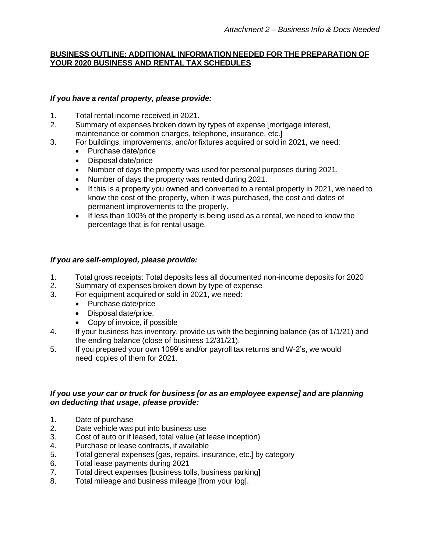# **BUSINESS OUTLINE: ADDITIONAL INFORMATION NEEDED FOR THE PREPARATION OF YOUR 2020 BUSINESS AND RENTAL TAX SCHEDULES**

# *If you have a rental property, please provide:*

- 1. Total rental income received in 2021.
- 2. Summary of expenses broken down by types of expense [mortgage interest, maintenance or common charges, telephone, insurance, etc.]
- 3. For buildings, improvements, and/or fixtures acquired or sold in 2021, we need:
	- Purchase date/price
	- Disposal date/price
	- Number of days the property was used for personal purposes during 2021.
	- Number of days the property was rented during 2021.
	- If this is a property you owned and converted to a rental property in 2021, we need to know the cost of the property, when it was purchased, the cost and dates of permanent improvements to the property.
	- If less than 100% of the property is being used as a rental, we need to know the percentage that is for rental usage.

# *If you are self-employed, please provide:*

- 1. Total gross receipts: Total deposits less all documented non-income deposits for 2020
- 2. Summary of expenses broken down by type of expense
- 3. For equipment acquired or sold in 2021, we need:
	- Purchase date/price
	- Disposal date/price.
	- Copy of invoice, if possible
- 4. If your business has inventory, provide us with the beginning balance (as of 1/1/21) and the ending balance (close of business 12/31/21).
- 5. If you prepared your own 1099's and/or payroll tax returns and W-2's, we would need copies of them for 2021.

### *If you use your car or truck for business [or as an employee expense] and are planning on deducting that usage, please provide:*

- 1. Date of purchase
- 2. Date vehicle was put into business use
- 3. Cost of auto or if leased, total value (at lease inception)
- 4. Purchase or lease contracts, if available
- 5. Total general expenses [gas, repairs, insurance, etc.] by category
- 6. Total lease payments during 2021
- 7. Total direct expenses [business tolls, business parking]
- 8. Total mileage and business mileage [from your log].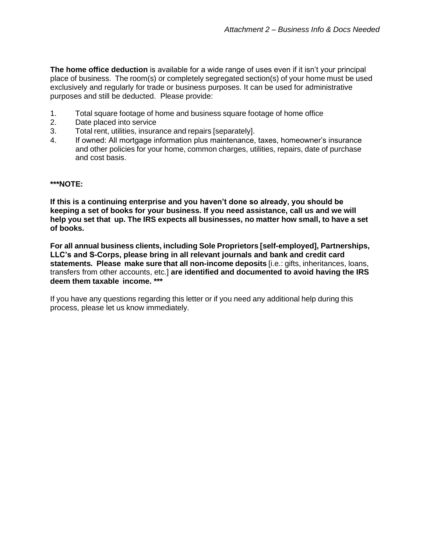**The home office deduction** is available for a wide range of uses even if it isn't your principal place of business. The room(s) or completely segregated section(s) of your home must be used exclusively and regularly for trade or business purposes. It can be used for administrative purposes and still be deducted. Please provide:

- 1. Total square footage of home and business square footage of home office
- 2. Date placed into service
- 3. Total rent, utilities, insurance and repairs [separately].
- 4. If owned: All mortgage information plus maintenance, taxes, homeowner's insurance and other policies for your home, common charges, utilities, repairs, date of purchase and cost basis.

#### **\*\*\*NOTE:**

**If this is a continuing enterprise and you haven't done so already, you should be keeping a set of books for your business. If you need assistance, call us and we will help you set that up. The IRS expects all businesses, no matter how small, to have a set of books.**

**For all annual business clients, including Sole Proprietors [self-employed], Partnerships, LLC's and S-Corps, please bring in all relevant journals and bank and credit card statements. Please make sure that all non-income deposits** [i.e.: gifts, inheritances, loans, transfers from other accounts, etc.] **are identified and documented to avoid having the IRS deem them taxable income. \*\*\***

If you have any questions regarding this letter or if you need any additional help during this process, please let us know immediately.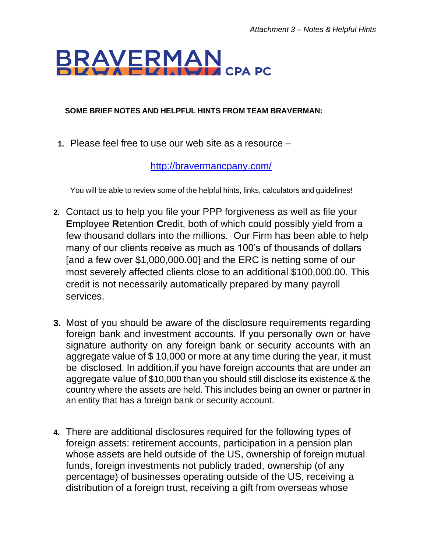# BRAYERMAN **THE CPA PC**

# **SOME BRIEF NOTES AND HELPFUL HINTS FROM TEAM BRAVERMAN:**

**1.** Please feel free to use our web site as a resource –

<http://bravermancpany.com/>

You will be able to review some of the helpful hints, links, calculators and guidelines!

- **2.** Contact us to help you file your PPP forgiveness as well as file your **E**mployee **R**etention **C**redit, both of which could possibly yield from a few thousand dollars into the millions. Our Firm has been able to help many of our clients receive as much as 100's of thousands of dollars [and a few over \$1,000,000.00] and the ERC is netting some of our most severely affected clients close to an additional \$100,000.00. This credit is not necessarily automatically prepared by many payroll services.
- **3.** Most of you should be aware of the disclosure requirements regarding foreign bank and investment accounts. If you personally own or have signature authority on any foreign bank or security accounts with an aggregate value of \$ 10,000 or more at any time during the year, it must be disclosed. In addition,if you have foreign accounts that are under an aggregate value of \$10,000 than you should still disclose its existence & the country where the assets are held. This includes being an owner or partner in an entity that has a foreign bank or security account.
- **4.** There are additional disclosures required for the following types of foreign assets: retirement accounts, participation in a pension plan whose assets are held outside of the US, ownership of foreign mutual funds, foreign investments not publicly traded, ownership (of any percentage) of businesses operating outside of the US, receiving a distribution of a foreign trust, receiving a gift from overseas whose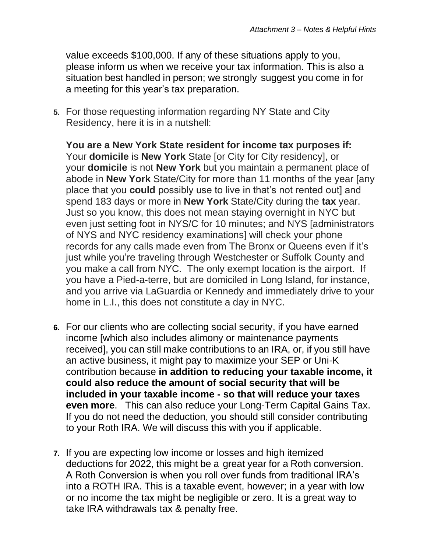value exceeds \$100,000. If any of these situations apply to you, please inform us when we receive your tax information. This is also a situation best handled in person; we strongly suggest you come in for a meeting for this year's tax preparation.

**5.** For those requesting information regarding NY State and City Residency, here it is in a nutshell:

**You are a New York State resident for income tax purposes if:** Your **domicile** is **New York** State [or City for City residency], or your **domicile** is not **New York** but you maintain a permanent place of abode in **New York** State/City for more than 11 months of the year [any place that you **could** possibly use to live in that's not rented out] and spend 183 days or more in **New York** State/City during the **tax** year. Just so you know, this does not mean staying overnight in NYC but even just setting foot in NYS/C for 10 minutes; and NYS [administrators of NYS and NYC residency examinations] will check your phone records for any calls made even from The Bronx or Queens even if it's just while you're traveling through Westchester or Suffolk County and you make a call from NYC. The only exempt location is the airport. If you have a Pied-a-terre, but are domiciled in Long Island, for instance, and you arrive via LaGuardia or Kennedy and immediately drive to your home in L.I., this does not constitute a day in NYC.

- **6.** For our clients who are collecting social security, if you have earned income [which also includes alimony or maintenance payments received], you can still make contributions to an IRA, or, if you still have an active business, it might pay to maximize your SEP or Uni-K contribution because **in addition to reducing your taxable income, it could also reduce the amount of social security that will be included in your taxable income - so that will reduce your taxes even more**. This can also reduce your Long-Term Capital Gains Tax. If you do not need the deduction, you should still consider contributing to your Roth IRA. We will discuss this with you if applicable.
- **7.** If you are expecting low income or losses and high itemized deductions for 2022, this might be a great year for a Roth conversion. A Roth Conversion is when you roll over funds from traditional IRA's into a ROTH IRA. This is a taxable event, however; in a year with low or no income the tax might be negligible or zero. It is a great way to take IRA withdrawals tax & penalty free.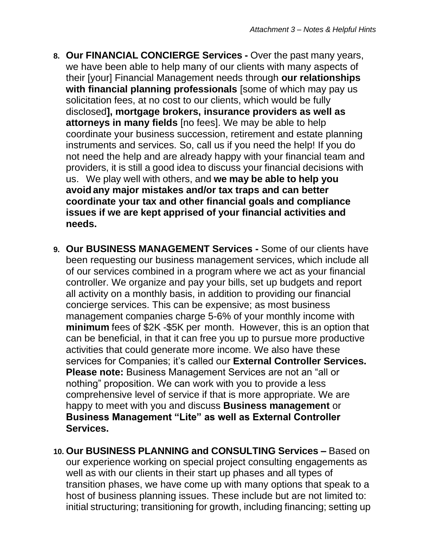- **8. Our FINANCIAL CONCIERGE Services -** Over the past many years, we have been able to help many of our clients with many aspects of their [your] Financial Management needs through **our relationships with financial planning professionals** [some of which may pay us solicitation fees, at no cost to our clients, which would be fully disclosed**], mortgage brokers, insurance providers as well as attorneys in many fields** [no fees]. We may be able to help coordinate your business succession, retirement and estate planning instruments and services. So, call us if you need the help! If you do not need the help and are already happy with your financial team and providers, it is still a good idea to discuss your financial decisions with us. We play well with others, and **we may be able to help you avoid any major mistakes and/or tax traps and can better coordinate your tax and other financial goals and compliance issues if we are kept apprised of your financial activities and needs.**
- **9. Our BUSINESS MANAGEMENT Services -** Some of our clients have been requesting our business management services, which include all of our services combined in a program where we act as your financial controller. We organize and pay your bills, set up budgets and report all activity on a monthly basis, in addition to providing our financial concierge services. This can be expensive; as most business management companies charge 5-6% of your monthly income with **minimum** fees of \$2K -\$5K per month. However, this is an option that can be beneficial, in that it can free you up to pursue more productive activities that could generate more income. We also have these services for Companies; it's called our **External Controller Services. Please note:** Business Management Services are not an "all or nothing" proposition. We can work with you to provide a less comprehensive level of service if that is more appropriate. We are happy to meet with you and discuss **Business management** or **Business Management "Lite" as well as External Controller Services.**
- **10. Our BUSINESS PLANNING and CONSULTING Services –** Based on our experience working on special project consulting engagements as well as with our clients in their start up phases and all types of transition phases, we have come up with many options that speak to a host of business planning issues. These include but are not limited to: initial structuring; transitioning for growth, including financing; setting up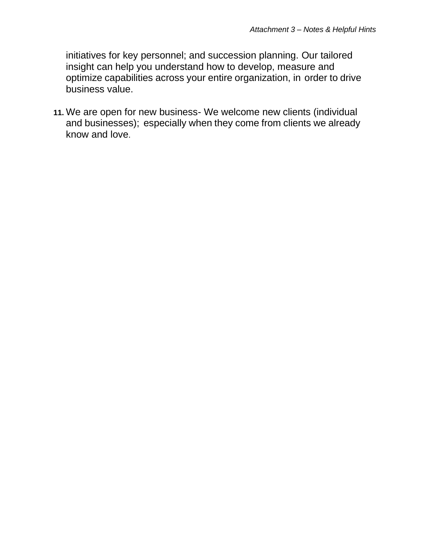initiatives for key personnel; and succession planning. Our tailored insight can help you understand how to develop, measure and optimize capabilities across your entire organization, in order to drive business value.

**11.** We are open for new business- We welcome new clients (individual and businesses); especially when they come from clients we already know and love.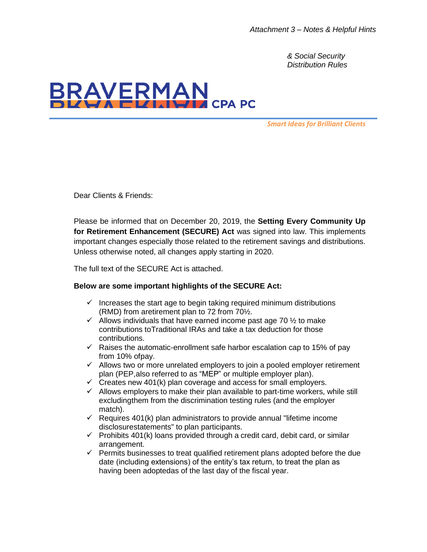*& Social Security Distribution Rules*



*Smart Ideas for Brilliant Clients*

Dear Clients & Friends:

Please be informed that on December 20, 2019, the **Setting Every Community Up for Retirement Enhancement (SECURE) Act** was signed into law. This implements important changes especially those related to the retirement savings and distributions. Unless otherwise noted, all changes apply starting in 2020.

The full text of the SECURE Act is attached.

#### **Below are some important highlights of the SECURE Act:**

- $\checkmark$  Increases the start age to begin taking required minimum distributions (RMD) from aretirement plan to 72 from 70½.
- $\checkmark$  Allows individuals that have earned income past age 70  $\frac{1}{2}$  to make contributions toTraditional IRAs and take a tax deduction for those contributions.
- $\checkmark$  Raises the automatic-enrollment safe harbor escalation cap to 15% of pay from 10% ofpay.
- ✓ Allows two or more unrelated employers to join a pooled employer retirement plan (PEP,also referred to as "MEP" or multiple employer plan).
- $\checkmark$  Creates new 401(k) plan coverage and access for small employers.
- $\checkmark$  Allows employers to make their plan available to part-time workers, while still excludingthem from the discrimination testing rules (and the employer match).
- $\checkmark$  Requires 401(k) plan administrators to provide annual "lifetime income disclosurestatements" to plan participants.
- $\checkmark$  Prohibits 401(k) loans provided through a credit card, debit card, or similar arrangement.
- ✓ Permits businesses to treat qualified retirement plans adopted before the due date (including extensions) of the entity's tax return, to treat the plan as having been adoptedas of the last day of the fiscal year.